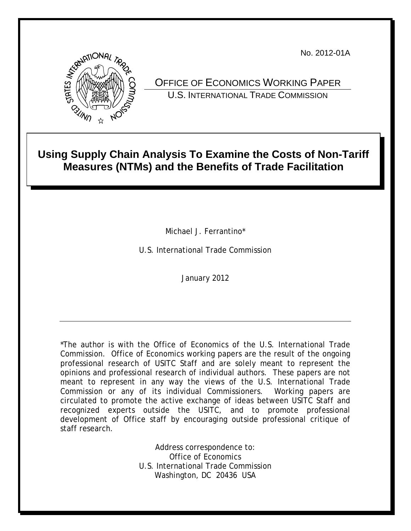No. 2012-01A



OFFICE OF ECONOMICS WORKING PAPER U.S. INTERNATIONAL TRADE COMMISSION

# **Using Supply Chain Analysis To Examine the Costs of Non-Tariff Measures (NTMs) and the Benefits of Trade Facilitation**

Michael J. Ferrantino\*

U.S. International Trade Commission

January 2012

\*The author is with the Office of Economics of the U.S. International Trade Commission. Office of Economics working papers are the result of the ongoing professional research of USITC Staff and are solely meant to represent the opinions and professional research of individual authors. These papers are not meant to represent in any way the views of the U.S. International Trade Commission or any of its individual Commissioners. Working papers are circulated to promote the active exchange of ideas between USITC Staff and recognized experts outside the USITC, and to promote professional development of Office staff by encouraging outside professional critique of staff research.

> Address correspondence to: Office of Economics U.S. International Trade Commission Washington, DC 20436 USA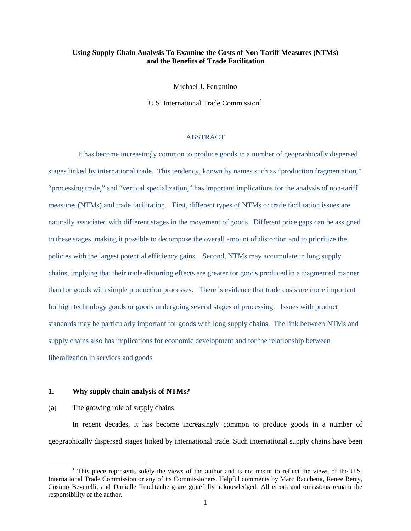## **Using Supply Chain Analysis To Examine the Costs of Non-Tariff Measures (NTMs) and the Benefits of Trade Facilitation**

Michael J. Ferrantino

U.S. International Trade Commission $<sup>1</sup>$  $<sup>1</sup>$  $<sup>1</sup>$ </sup>

## ABSTRACT

 It has become increasingly common to produce goods in a number of geographically dispersed stages linked by international trade. This tendency, known by names such as "production fragmentation," "processing trade," and "vertical specialization," has important implications for the analysis of non-tariff measures (NTMs) and trade facilitation. First, different types of NTMs or trade facilitation issues are naturally associated with different stages in the movement of goods. Different price gaps can be assigned to these stages, making it possible to decompose the overall amount of distortion and to prioritize the policies with the largest potential efficiency gains. Second, NTMs may accumulate in long supply chains, implying that their trade-distorting effects are greater for goods produced in a fragmented manner than for goods with simple production processes. There is evidence that trade costs are more important for high technology goods or goods undergoing several stages of processing. Issues with product standards may be particularly important for goods with long supply chains. The link between NTMs and supply chains also has implications for economic development and for the relationship between liberalization in services and goods

#### **1. Why supply chain analysis of NTMs?**

#### (a) The growing role of supply chains

In recent decades, it has become increasingly common to produce goods in a number of geographically dispersed stages linked by international trade. Such international supply chains have been

<span id="page-1-0"></span><sup>&</sup>lt;sup>1</sup> This piece represents solely the views of the author and is not meant to reflect the views of the U.S. International Trade Commission or any of its Commissioners. Helpful comments by Marc Bacchetta, Renee Berry, Cosimo Beverelli, and Danielle Trachtenberg are gratefully acknowledged. All errors and omissions remain the responsibility of the author.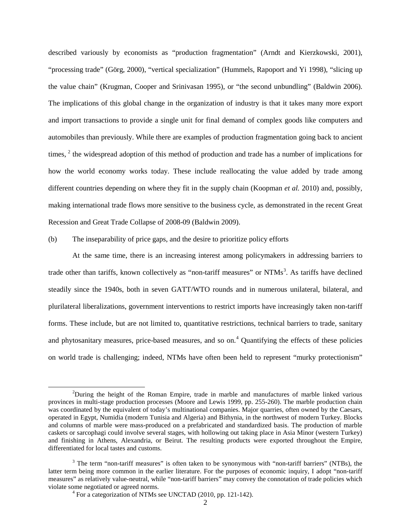described variously by economists as "production fragmentation" (Arndt and Kierzkowski, 2001), "processing trade" (Görg, 2000), "vertical specialization" (Hummels, Rapoport and Yi 1998), "slicing up the value chain" (Krugman, Cooper and Srinivasan 1995), or "the second unbundling" (Baldwin 2006). The implications of this global change in the organization of industry is that it takes many more export and import transactions to provide a single unit for final demand of complex goods like computers and automobiles than previously. While there are examples of production fragmentation going back to ancient times, <sup>[2](#page-2-0)</sup> the widespread adoption of this method of production and trade has a number of implications for how the world economy works today. These include reallocating the value added by trade among different countries depending on where they fit in the supply chain (Koopman *et al.* 2010) and, possibly, making international trade flows more sensitive to the business cycle, as demonstrated in the recent Great Recession and Great Trade Collapse of 2008-09 (Baldwin 2009).

## (b) The inseparability of price gaps, and the desire to prioritize policy efforts

At the same time, there is an increasing interest among policymakers in addressing barriers to trade other than tariffs, known collectively as "non-tariff measures" or NTMs<sup>[3](#page-2-1)</sup>. As tariffs have declined steadily since the 1940s, both in seven GATT/WTO rounds and in numerous unilateral, bilateral, and plurilateral liberalizations, government interventions to restrict imports have increasingly taken non-tariff forms. These include, but are not limited to, quantitative restrictions, technical barriers to trade, sanitary and phytosanitary measures, price-based measures, and so on.<sup>[4](#page-2-2)</sup> Quantifying the effects of these policies on world trade is challenging; indeed, NTMs have often been held to represent "murky protectionism"

<span id="page-2-0"></span> $\overline{\phantom{a}}$ <sup>2</sup>During the height of the Roman Empire, trade in marble and manufactures of marble linked various provinces in multi-stage production processes (Moore and Lewis 1999, pp. 255-260). The marble production chain was coordinated by the equivalent of today's multinational companies. Major quarries, often owned by the Caesars, operated in Egypt, Numidia (modern Tunisia and Algeria) and Bithynia, in the northwest of modern Turkey. Blocks and columns of marble were mass-produced on a prefabricated and standardized basis. The production of marble caskets or sarcophagi could involve several stages, with hollowing out taking place in Asia Minor (western Turkey) and finishing in Athens, Alexandria, or Beirut. The resulting products were exported throughout the Empire, differentiated for local tastes and customs.

<span id="page-2-2"></span><span id="page-2-1"></span><sup>&</sup>lt;sup>3</sup> The term "non-tariff measures" is often taken to be synonymous with "non-tariff barriers" (NTBs), the latter term being more common in the earlier literature. For the purposes of economic inquiry, I adopt "non-tariff measures" as relatively value-neutral, while "non-tariff barriers" may convey the connotation of trade policies which violate some negotiated or agreed norms.<br><sup>4</sup> For a categorization of NTMs see UNCTAD (2010, pp. 121-142).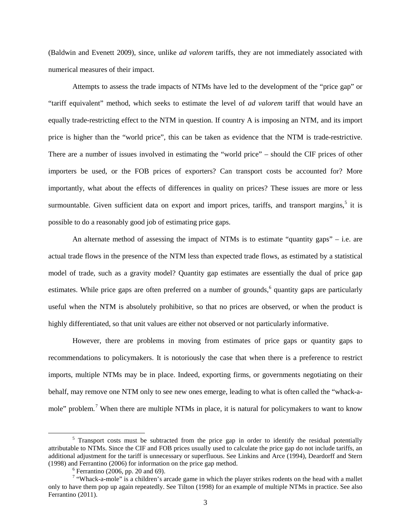(Baldwin and Evenett 2009), since, unlike *ad valorem* tariffs, they are not immediately associated with numerical measures of their impact.

Attempts to assess the trade impacts of NTMs have led to the development of the "price gap" or "tariff equivalent" method, which seeks to estimate the level of *ad valorem* tariff that would have an equally trade-restricting effect to the NTM in question. If country A is imposing an NTM, and its import price is higher than the "world price", this can be taken as evidence that the NTM is trade-restrictive. There are a number of issues involved in estimating the "world price" – should the CIF prices of other importers be used, or the FOB prices of exporters? Can transport costs be accounted for? More importantly, what about the effects of differences in quality on prices? These issues are more or less surmountable. Given sufficient data on export and import prices, tariffs, and transport margins,<sup>[5](#page-3-0)</sup> it is possible to do a reasonably good job of estimating price gaps.

An alternate method of assessing the impact of NTMs is to estimate "quantity gaps"  $-$  i.e. are actual trade flows in the presence of the NTM less than expected trade flows, as estimated by a statistical model of trade, such as a gravity model? Quantity gap estimates are essentially the dual of price gap estimates. While price gaps are often preferred on a number of grounds, $6$  quantity gaps are particularly useful when the NTM is absolutely prohibitive, so that no prices are observed, or when the product is highly differentiated, so that unit values are either not observed or not particularly informative.

However, there are problems in moving from estimates of price gaps or quantity gaps to recommendations to policymakers. It is notoriously the case that when there is a preference to restrict imports, multiple NTMs may be in place. Indeed, exporting firms, or governments negotiating on their behalf, may remove one NTM only to see new ones emerge, leading to what is often called the "whack-a-mole" problem.<sup>[7](#page-4-0)</sup> When there are multiple NTMs in place, it is natural for policymakers to want to know

<span id="page-3-0"></span> $5$  Transport costs must be subtracted from the price gap in order to identify the residual potentially attributable to NTMs. Since the CIF and FOB prices usually used to calculate the price gap do not include tariffs, an additional adjustment for the tariff is unnecessary or superfluous. See Linkins and Arce (1994), Deardorff and Stern (1998) and Ferrantino (2006) for information on the price gap method.

<span id="page-3-1"></span><sup>&</sup>lt;sup>6</sup> Ferrantino (2006, pp. 20 and 69). <sup>7</sup> "Whack-a-mole" is a children's arcade game in which the player strikes rodents on the head with a mallet only to have them pop up again repeatedly. See Tilton (1998) for an example of multiple NTMs in practice. See also Ferrantino (2011).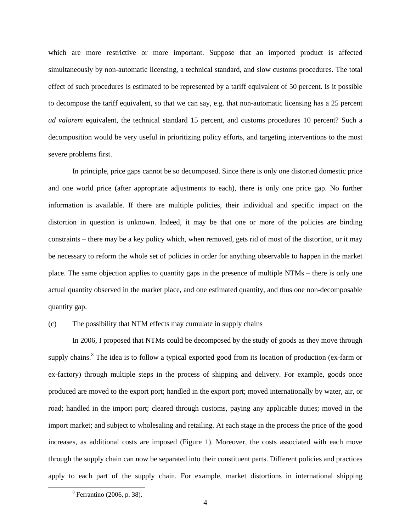which are more restrictive or more important. Suppose that an imported product is affected simultaneously by non-automatic licensing, a technical standard, and slow customs procedures. The total effect of such procedures is estimated to be represented by a tariff equivalent of 50 percent. Is it possible to decompose the tariff equivalent, so that we can say, e.g. that non-automatic licensing has a 25 percent *ad valorem* equivalent, the technical standard 15 percent, and customs procedures 10 percent? Such a decomposition would be very useful in prioritizing policy efforts, and targeting interventions to the most severe problems first.

In principle, price gaps cannot be so decomposed. Since there is only one distorted domestic price and one world price (after appropriate adjustments to each), there is only one price gap. No further information is available. If there are multiple policies, their individual and specific impact on the distortion in question is unknown. Indeed, it may be that one or more of the policies are binding constraints – there may be a key policy which, when removed, gets rid of most of the distortion, or it may be necessary to reform the whole set of policies in order for anything observable to happen in the market place. The same objection applies to quantity gaps in the presence of multiple NTMs – there is only one actual quantity observed in the market place, and one estimated quantity, and thus one non-decomposable quantity gap.

## (c) The possibility that NTM effects may cumulate in supply chains

In 2006, I proposed that NTMs could be decomposed by the study of goods as they move through supply chains.<sup>[8](#page-4-1)</sup> The idea is to follow a typical exported good from its location of production (ex-farm or ex-factory) through multiple steps in the process of shipping and delivery. For example, goods once produced are moved to the export port; handled in the export port; moved internationally by water, air, or road; handled in the import port; cleared through customs, paying any applicable duties; moved in the import market; and subject to wholesaling and retailing. At each stage in the process the price of the good increases, as additional costs are imposed (Figure 1). Moreover, the costs associated with each move through the supply chain can now be separated into their constituent parts. Different policies and practices apply to each part of the supply chain. For example, market distortions in international shipping

<span id="page-4-1"></span><span id="page-4-0"></span> <sup>8</sup> Ferrantino (2006, p. 38).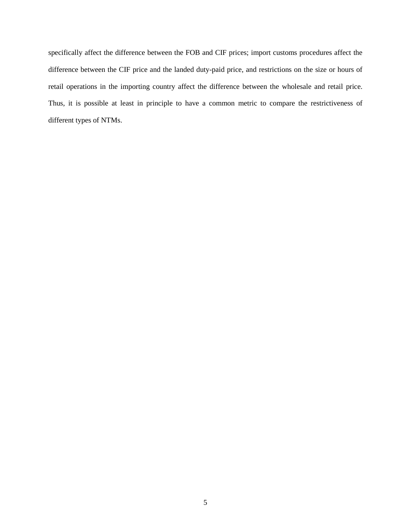specifically affect the difference between the FOB and CIF prices; import customs procedures affect the difference between the CIF price and the landed duty-paid price, and restrictions on the size or hours of retail operations in the importing country affect the difference between the wholesale and retail price. Thus, it is possible at least in principle to have a common metric to compare the restrictiveness of different types of NTMs.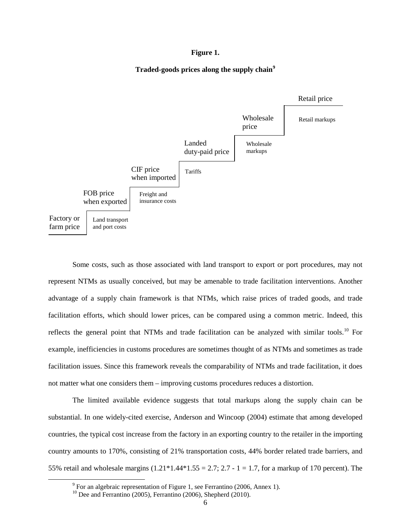## **Figure 1.**

## **Traded-goods prices along the supply chain[9](#page-6-0)**



Some costs, such as those associated with land transport to export or port procedures, may not represent NTMs as usually conceived, but may be amenable to trade facilitation interventions. Another advantage of a supply chain framework is that NTMs, which raise prices of traded goods, and trade facilitation efforts, which should lower prices, can be compared using a common metric. Indeed, this reflects the general point that NTMs and trade facilitation can be analyzed with similar tools.<sup>[10](#page-6-1)</sup> For example, inefficiencies in customs procedures are sometimes thought of as NTMs and sometimes as trade facilitation issues. Since this framework reveals the comparability of NTMs and trade facilitation, it does not matter what one considers them – improving customs procedures reduces a distortion.

The limited available evidence suggests that total markups along the supply chain can be substantial. In one widely-cited exercise, Anderson and Wincoop (2004) estimate that among developed countries, the typical cost increase from the factory in an exporting country to the retailer in the importing country amounts to 170%, consisting of 21% transportation costs, 44% border related trade barriers, and 55% retail and wholesale margins  $(1.21*1.44*1.55 = 2.7; 2.7 - 1 = 1.7$ , for a markup of 170 percent). The

<span id="page-6-1"></span><span id="page-6-0"></span><sup>&</sup>lt;sup>9</sup> For an algebraic representation of Figure 1, see Ferrantino (2006, Annex 1). <sup>10</sup> Dee and Ferrantino (2005), Ferrantino (2006), Shepherd (2010).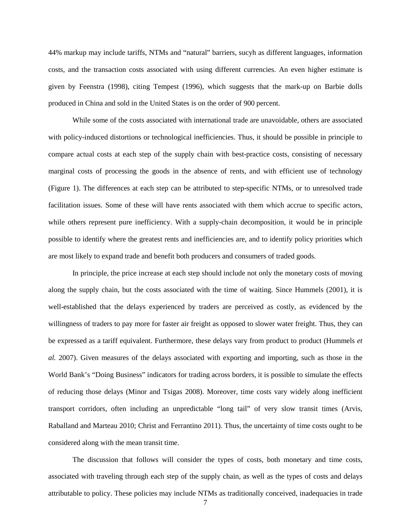44% markup may include tariffs, NTMs and "natural" barriers, sucyh as different languages, information costs, and the transaction costs associated with using different currencies. An even higher estimate is given by Feenstra (1998), citing Tempest (1996), which suggests that the mark-up on Barbie dolls produced in China and sold in the United States is on the order of 900 percent.

While some of the costs associated with international trade are unavoidable, others are associated with policy-induced distortions or technological inefficiencies. Thus, it should be possible in principle to compare actual costs at each step of the supply chain with best-practice costs, consisting of necessary marginal costs of processing the goods in the absence of rents, and with efficient use of technology (Figure 1). The differences at each step can be attributed to step-specific NTMs, or to unresolved trade facilitation issues. Some of these will have rents associated with them which accrue to specific actors, while others represent pure inefficiency. With a supply-chain decomposition, it would be in principle possible to identify where the greatest rents and inefficiencies are, and to identify policy priorities which are most likely to expand trade and benefit both producers and consumers of traded goods.

In principle, the price increase at each step should include not only the monetary costs of moving along the supply chain, but the costs associated with the time of waiting. Since Hummels (2001), it is well-established that the delays experienced by traders are perceived as costly, as evidenced by the willingness of traders to pay more for faster air freight as opposed to slower water freight. Thus, they can be expressed as a tariff equivalent. Furthermore, these delays vary from product to product (Hummels *et al.* 2007). Given measures of the delays associated with exporting and importing, such as those in the World Bank's "Doing Business" indicators for trading across borders, it is possible to simulate the effects of reducing those delays (Minor and Tsigas 2008). Moreover, time costs vary widely along inefficient transport corridors, often including an unpredictable "long tail" of very slow transit times (Arvis, Raballand and Marteau 2010; Christ and Ferrantino 2011). Thus, the uncertainty of time costs ought to be considered along with the mean transit time.

The discussion that follows will consider the types of costs, both monetary and time costs, associated with traveling through each step of the supply chain, as well as the types of costs and delays attributable to policy. These policies may include NTMs as traditionally conceived, inadequacies in trade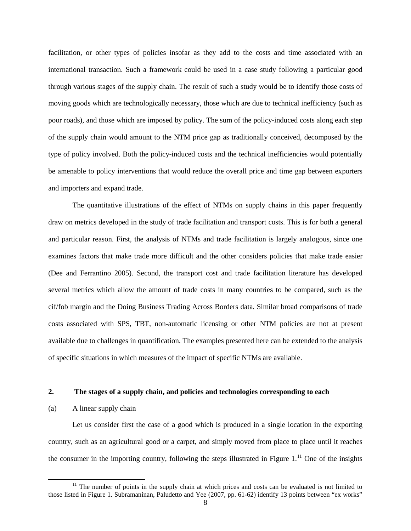facilitation, or other types of policies insofar as they add to the costs and time associated with an international transaction. Such a framework could be used in a case study following a particular good through various stages of the supply chain. The result of such a study would be to identify those costs of moving goods which are technologically necessary, those which are due to technical inefficiency (such as poor roads), and those which are imposed by policy. The sum of the policy-induced costs along each step of the supply chain would amount to the NTM price gap as traditionally conceived, decomposed by the type of policy involved. Both the policy-induced costs and the technical inefficiencies would potentially be amenable to policy interventions that would reduce the overall price and time gap between exporters and importers and expand trade.

The quantitative illustrations of the effect of NTMs on supply chains in this paper frequently draw on metrics developed in the study of trade facilitation and transport costs. This is for both a general and particular reason. First, the analysis of NTMs and trade facilitation is largely analogous, since one examines factors that make trade more difficult and the other considers policies that make trade easier (Dee and Ferrantino 2005). Second, the transport cost and trade facilitation literature has developed several metrics which allow the amount of trade costs in many countries to be compared, such as the cif/fob margin and the Doing Business Trading Across Borders data. Similar broad comparisons of trade costs associated with SPS, TBT, non-automatic licensing or other NTM policies are not at present available due to challenges in quantification. The examples presented here can be extended to the analysis of specific situations in which measures of the impact of specific NTMs are available.

## **2. The stages of a supply chain, and policies and technologies corresponding to each**

## (a) A linear supply chain

Let us consider first the case of a good which is produced in a single location in the exporting country, such as an agricultural good or a carpet, and simply moved from place to place until it reaches the consumer in the importing country, following the steps illustrated in Figure  $1<sup>11</sup>$  $1<sup>11</sup>$  $1<sup>11</sup>$  One of the insights

 $11$  The number of points in the supply chain at which prices and costs can be evaluated is not limited to those listed in Figure 1. Subramaninan, Paludetto and Yee (2007, pp. 61-62) identify 13 points between "ex works"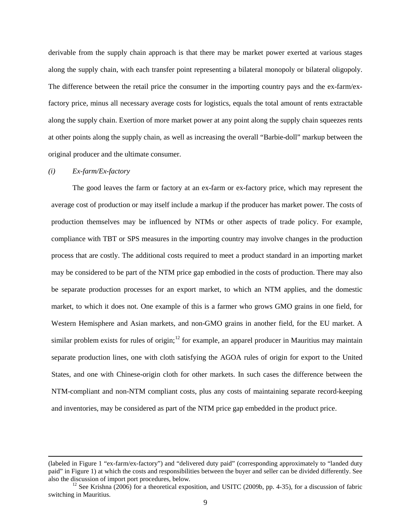derivable from the supply chain approach is that there may be market power exerted at various stages along the supply chain, with each transfer point representing a bilateral monopoly or bilateral oligopoly. The difference between the retail price the consumer in the importing country pays and the ex-farm/exfactory price, minus all necessary average costs for logistics, equals the total amount of rents extractable along the supply chain. Exertion of more market power at any point along the supply chain squeezes rents at other points along the supply chain, as well as increasing the overall "Barbie-doll" markup between the original producer and the ultimate consumer.

#### *(i) Ex-farm/Ex-factory*

l

The good leaves the farm or factory at an ex-farm or ex-factory price, which may represent the average cost of production or may itself include a markup if the producer has market power. The costs of production themselves may be influenced by NTMs or other aspects of trade policy. For example, compliance with TBT or SPS measures in the importing country may involve changes in the production process that are costly. The additional costs required to meet a product standard in an importing market may be considered to be part of the NTM price gap embodied in the costs of production. There may also be separate production processes for an export market, to which an NTM applies, and the domestic market, to which it does not. One example of this is a farmer who grows GMO grains in one field, for Western Hemisphere and Asian markets, and non-GMO grains in another field, for the EU market. A similar problem exists for rules of origin;<sup>[12](#page-10-0)</sup> for example, an apparel producer in Mauritius may maintain separate production lines, one with cloth satisfying the AGOA rules of origin for export to the United States, and one with Chinese-origin cloth for other markets. In such cases the difference between the NTM-compliant and non-NTM compliant costs, plus any costs of maintaining separate record-keeping and inventories, may be considered as part of the NTM price gap embedded in the product price.

<span id="page-9-0"></span><sup>(</sup>labeled in Figure 1 "ex-farm/ex-factory") and "delivered duty paid" (corresponding approximately to "landed duty paid" in Figure 1) at which the costs and responsibilities between the buyer and seller can be divided differently. See also the discussion of import port procedures, below.

<sup>&</sup>lt;sup>12</sup> See Krishna (2006) for a theoretical exposition, and USITC (2009b, pp. 4-35), for a discussion of fabric switching in Mauritius.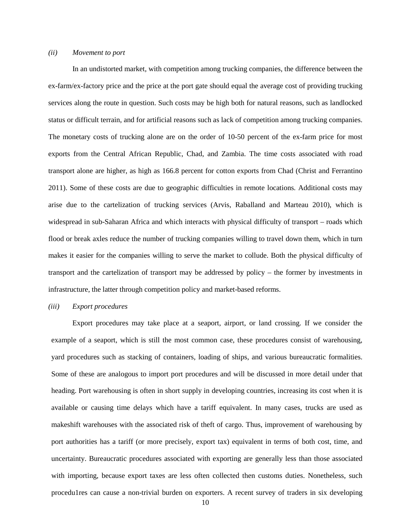## *(ii) Movement to port*

In an undistorted market, with competition among trucking companies, the difference between the ex-farm/ex-factory price and the price at the port gate should equal the average cost of providing trucking services along the route in question. Such costs may be high both for natural reasons, such as landlocked status or difficult terrain, and for artificial reasons such as lack of competition among trucking companies. The monetary costs of trucking alone are on the order of 10-50 percent of the ex-farm price for most exports from the Central African Republic, Chad, and Zambia. The time costs associated with road transport alone are higher, as high as 166.8 percent for cotton exports from Chad (Christ and Ferrantino 2011). Some of these costs are due to geographic difficulties in remote locations. Additional costs may arise due to the cartelization of trucking services (Arvis, Raballand and Marteau 2010), which is widespread in sub-Saharan Africa and which interacts with physical difficulty of transport – roads which flood or break axles reduce the number of trucking companies willing to travel down them, which in turn makes it easier for the companies willing to serve the market to collude. Both the physical difficulty of transport and the cartelization of transport may be addressed by policy – the former by investments in infrastructure, the latter through competition policy and market-based reforms.

## *(iii) Export procedures*

<span id="page-10-0"></span>Export procedures may take place at a seaport, airport, or land crossing. If we consider the example of a seaport, which is still the most common case, these procedures consist of warehousing, yard procedures such as stacking of containers, loading of ships, and various bureaucratic formalities. Some of these are analogous to import port procedures and will be discussed in more detail under that heading. Port warehousing is often in short supply in developing countries, increasing its cost when it is available or causing time delays which have a tariff equivalent. In many cases, trucks are used as makeshift warehouses with the associated risk of theft of cargo. Thus, improvement of warehousing by port authorities has a tariff (or more precisely, export tax) equivalent in terms of both cost, time, and uncertainty. Bureaucratic procedures associated with exporting are generally less than those associated with importing, because export taxes are less often collected then customs duties. Nonetheless, such procedu1res can cause a non-trivial burden on exporters. A recent survey of traders in six developing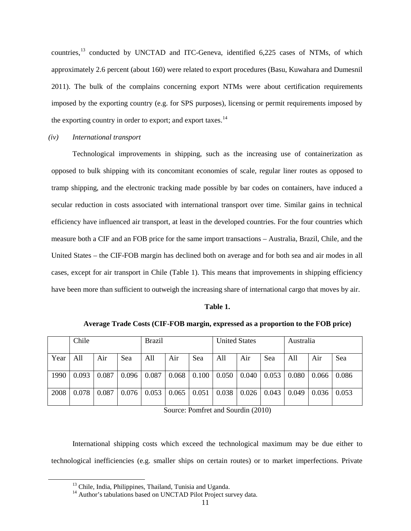countries,<sup>[13](#page-11-0)</sup> conducted by UNCTAD and ITC-Geneva, identified 6,225 cases of NTMs, of which approximately 2.6 percent (about 160) were related to export procedures (Basu, Kuwahara and Dumesnil 2011). The bulk of the complains concerning export NTMs were about certification requirements imposed by the exporting country (e.g. for SPS purposes), licensing or permit requirements imposed by the exporting country in order to export; and export taxes. $^{14}$  $^{14}$  $^{14}$ 

## *(iv) International transport*

Technological improvements in shipping, such as the increasing use of containerization as opposed to bulk shipping with its concomitant economies of scale, regular liner routes as opposed to tramp shipping, and the electronic tracking made possible by bar codes on containers, have induced a secular reduction in costs associated with international transport over time. Similar gains in technical efficiency have influenced air transport, at least in the developed countries. For the four countries which measure both a CIF and an FOB price for the same import transactions – Australia, Brazil, Chile, and the United States – the CIF-FOB margin has declined both on average and for both sea and air modes in all cases, except for air transport in Chile (Table 1). This means that improvements in shipping efficiency have been more than sufficient to outweigh the increasing share of international cargo that moves by air.

#### **Table 1.**

**Average Trade Costs (CIF-FOB margin, expressed as a proportion to the FOB price)**

|      | Chile |       |       | <b>Brazil</b> |       |       | <b>United States</b> |       |       | Australia |       |       |
|------|-------|-------|-------|---------------|-------|-------|----------------------|-------|-------|-----------|-------|-------|
| Year | All   | Air   | Sea   | All           | Air   | Sea   | All                  | Air   | Sea   | All       | Air   | Sea   |
| 1990 | 0.093 | 0.087 | 0.096 | 0.087         | 0.068 | 0.100 | 0.050                | 0.040 | 0.053 | 0.080     | 0.066 | 0.086 |
| 2008 | 0.078 | 0.087 | 0.076 | 0.053         | 0.065 | 0.051 | 0.038                | 0.026 | 0.043 | 0.049     | 0.036 | 0.053 |

|  | Source: Pomfret and Sourdin (2010) |  |  |  |  |
|--|------------------------------------|--|--|--|--|
|--|------------------------------------|--|--|--|--|

<span id="page-11-1"></span><span id="page-11-0"></span>International shipping costs which exceed the technological maximum may be due either to technological inefficiencies (e.g. smaller ships on certain routes) or to market imperfections. Private

 $13$  Chile, India, Philippines, Thailand, Tunisia and Uganda.<br> $14$  Author's tabulations based on UNCTAD Pilot Project survey data.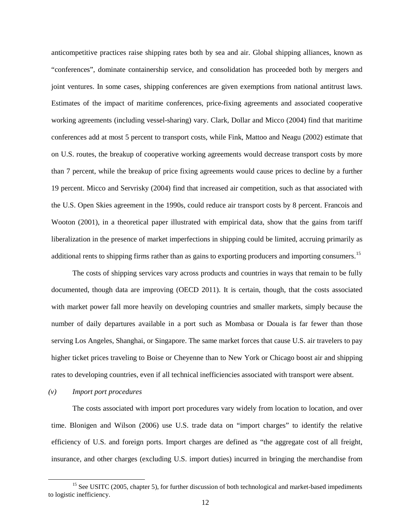anticompetitive practices raise shipping rates both by sea and air. Global shipping alliances, known as "conferences", dominate containership service, and consolidation has proceeded both by mergers and joint ventures. In some cases, shipping conferences are given exemptions from national antitrust laws. Estimates of the impact of maritime conferences, price-fixing agreements and associated cooperative working agreements (including vessel-sharing) vary. Clark, Dollar and Micco (2004) find that maritime conferences add at most 5 percent to transport costs, while Fink, Mattoo and Neagu (2002) estimate that on U.S. routes, the breakup of cooperative working agreements would decrease transport costs by more than 7 percent, while the breakup of price fixing agreements would cause prices to decline by a further 19 percent. Micco and Servrisky (2004) find that increased air competition, such as that associated with the U.S. Open Skies agreement in the 1990s, could reduce air transport costs by 8 percent. Francois and Wooton (2001), in a theoretical paper illustrated with empirical data, show that the gains from tariff liberalization in the presence of market imperfections in shipping could be limited, accruing primarily as additional rents to shipping firms rather than as gains to exporting producers and importing consumers.<sup>[15](#page-12-0)</sup>

The costs of shipping services vary across products and countries in ways that remain to be fully documented, though data are improving (OECD 2011). It is certain, though, that the costs associated with market power fall more heavily on developing countries and smaller markets, simply because the number of daily departures available in a port such as Mombasa or Douala is far fewer than those serving Los Angeles, Shanghai, or Singapore. The same market forces that cause U.S. air travelers to pay higher ticket prices traveling to Boise or Cheyenne than to New York or Chicago boost air and shipping rates to developing countries, even if all technical inefficiencies associated with transport were absent.

## *(v) Import port procedures*

The costs associated with import port procedures vary widely from location to location, and over time. Blonigen and Wilson (2006) use U.S. trade data on "import charges" to identify the relative efficiency of U.S. and foreign ports. Import charges are defined as "the aggregate cost of all freight, insurance, and other charges (excluding U.S. import duties) incurred in bringing the merchandise from

<span id="page-12-0"></span><sup>&</sup>lt;sup>15</sup> See USITC (2005, chapter 5), for further discussion of both technological and market-based impediments to logistic inefficiency.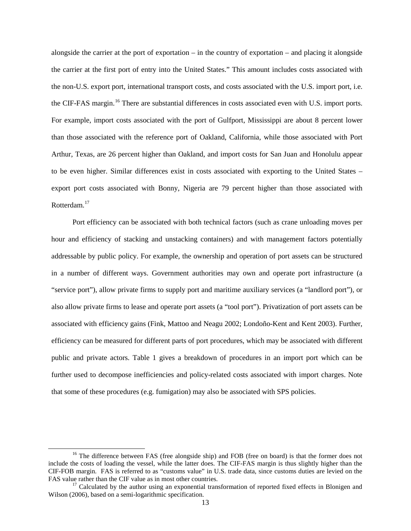alongside the carrier at the port of exportation – in the country of exportation – and placing it alongside the carrier at the first port of entry into the United States." This amount includes costs associated with the non-U.S. export port, international transport costs, and costs associated with the U.S. import port, i.e. the CIF-FAS margin.<sup>[16](#page-13-0)</sup> There are substantial differences in costs associated even with U.S. import ports. For example, import costs associated with the port of Gulfport, Mississippi are about 8 percent lower than those associated with the reference port of Oakland, California, while those associated with Port Arthur, Texas, are 26 percent higher than Oakland, and import costs for San Juan and Honolulu appear to be even higher. Similar differences exist in costs associated with exporting to the United States – export port costs associated with Bonny, Nigeria are 79 percent higher than those associated with Rotterdam.[17](#page-13-1)

Port efficiency can be associated with both technical factors (such as crane unloading moves per hour and efficiency of stacking and unstacking containers) and with management factors potentially addressable by public policy. For example, the ownership and operation of port assets can be structured in a number of different ways. Government authorities may own and operate port infrastructure (a "service port"), allow private firms to supply port and maritime auxiliary services (a "landlord port"), or also allow private firms to lease and operate port assets (a "tool port"). Privatization of port assets can be associated with efficiency gains (Fink, Mattoo and Neagu 2002; Londoño-Kent and Kent 2003). Further, efficiency can be measured for different parts of port procedures, which may be associated with different public and private actors. Table 1 gives a breakdown of procedures in an import port which can be further used to decompose inefficiencies and policy-related costs associated with import charges. Note that some of these procedures (e.g. fumigation) may also be associated with SPS policies.

<span id="page-13-0"></span><sup>&</sup>lt;sup>16</sup> The difference between FAS (free alongside ship) and FOB (free on board) is that the former does not include the costs of loading the vessel, while the latter does. The CIF-FAS margin is thus slightly higher than the CIF-FOB margin. FAS is referred to as "customs value" in U.S. trade data, since customs duties are levied on the FAS value rather than the CIF value as in most other countries.<br><sup>17</sup> Calculated by the author using an exponential transformation of reported fixed effects in Blonigen and

<span id="page-13-1"></span>Wilson (2006), based on a semi-logarithmic specification.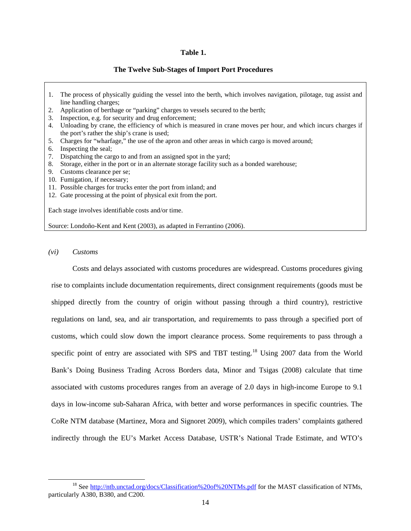#### **Table 1.**

#### **The Twelve Sub-Stages of Import Port Procedures**

1. The process of physically guiding the vessel into the berth, which involves navigation, pilotage, tug assist and line handling charges; 2. Application of berthage or "parking" charges to vessels secured to the berth; 3. Inspection, e.g. for security and drug enforcement; 4. Unloading by crane, the efficiency of which is measured in crane moves per hour, and which incurs charges if the port's rather the ship's crane is used; 5. Charges for "wharfage," the use of the apron and other areas in which cargo is moved around; 6. Inspecting the seal; 7. Dispatching the cargo to and from an assigned spot in the yard; 8. Storage, either in the port or in an alternate storage facility such as a bonded warehouse; 9. Customs clearance per se; 10. Fumigation, if necessary; 11. Possible charges for trucks enter the port from inland; and 12. Gate processing at the point of physical exit from the port. Each stage involves identifiable costs and/or time.

Source: Londoño-Kent and Kent (2003), as adapted in Ferrantino (2006).

*(vi) Customs*

Costs and delays associated with customs procedures are widespread. Customs procedures giving rise to complaints include documentation requirements, direct consignment requirements (goods must be shipped directly from the country of origin without passing through a third country), restrictive regulations on land, sea, and air transportation, and requirememts to pass through a specified port of customs, which could slow down the import clearance process. Some requirements to pass through a specific point of entry are associated with SPS and TBT testing.<sup>[18](#page-15-0)</sup> Using 2007 data from the World Bank's Doing Business Trading Across Borders data, Minor and Tsigas (2008) calculate that time associated with customs procedures ranges from an average of 2.0 days in high-income Europe to 9.1 days in low-income sub-Saharan Africa, with better and worse performances in specific countries. The CoRe NTM database (Martinez, Mora and Signoret 2009), which compiles traders' complaints gathered indirectly through the EU's Market Access Database, USTR's National Trade Estimate, and WTO's

<sup>&</sup>lt;sup>18</sup> See<http://ntb.unctad.org/docs/Classification%20of%20NTMs.pdf> for the MAST classification of NTMs, particularly A380, B380, and C200.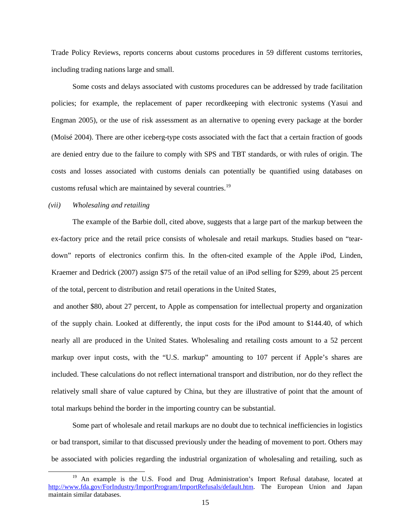Trade Policy Reviews, reports concerns about customs procedures in 59 different customs territories, including trading nations large and small.

Some costs and delays associated with customs procedures can be addressed by trade facilitation policies; for example, the replacement of paper recordkeeping with electronic systems (Yasui and Engman 2005), or the use of risk assessment as an alternative to opening every package at the border (Moïsé 2004). There are other iceberg-type costs associated with the fact that a certain fraction of goods are denied entry due to the failure to comply with SPS and TBT standards, or with rules of origin. The costs and losses associated with customs denials can potentially be quantified using databases on customs refusal which are maintained by several countries.<sup>[19](#page-16-0)</sup>

## *(vii) Wholesaling and retailing*

The example of the Barbie doll, cited above, suggests that a large part of the markup between the ex-factory price and the retail price consists of wholesale and retail markups. Studies based on "teardown" reports of electronics confirm this. In the often-cited example of the Apple iPod, Linden, Kraemer and Dedrick (2007) assign \$75 of the retail value of an iPod selling for \$299, about 25 percent of the total, percent to distribution and retail operations in the United States,

and another \$80, about 27 percent, to Apple as compensation for intellectual property and organization of the supply chain. Looked at differently, the input costs for the iPod amount to \$144.40, of which nearly all are produced in the United States. Wholesaling and retailing costs amount to a 52 percent markup over input costs, with the "U.S. markup" amounting to 107 percent if Apple's shares are included. These calculations do not reflect international transport and distribution, nor do they reflect the relatively small share of value captured by China, but they are illustrative of point that the amount of total markups behind the border in the importing country can be substantial.

Some part of wholesale and retail markups are no doubt due to technical inefficiencies in logistics or bad transport, similar to that discussed previously under the heading of movement to port. Others may be associated with policies regarding the industrial organization of wholesaling and retailing, such as

<span id="page-15-0"></span><sup>&</sup>lt;sup>19</sup> An example is the U.S. Food and Drug Administration's Import Refusal database, located at [http://www.fda.gov/ForIndustry/ImportProgram/ImportRefusals/default.htm.](http://www.fda.gov/ForIndustry/ImportProgram/ImportRefusals/default.htm) The European Union and Japan maintain similar databases.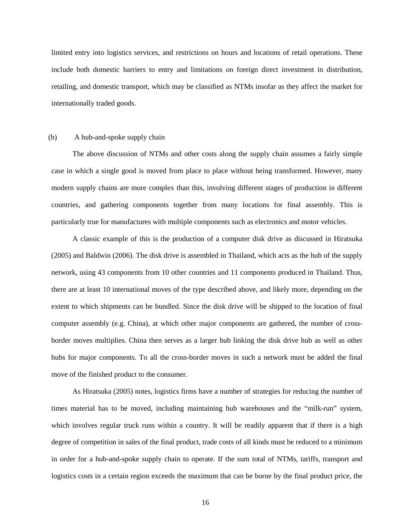limited entry into logistics services, and restrictions on hours and locations of retail operations. These include both domestic barriers to entry and limitations on foreign direct investment in distribution, retailing, and domestic transport, which may be classified as NTMs insofar as they affect the market for internationally traded goods.

#### (b) A hub-and-spoke supply chain

The above discussion of NTMs and other costs along the supply chain assumes a fairly simple case in which a single good is moved from place to place without being transformed. However, many modern supply chains are more complex than this, involving different stages of production in different countries, and gathering components together from many locations for final assembly. This is particularly true for manufactures with multiple components such as electronics and motor vehicles.

A classic example of this is the production of a computer disk drive as discussed in Hiratsuka (2005) and Baldwin (2006). The disk drive is assembled in Thailand, which acts as the hub of the supply network, using 43 components from 10 other countries and 11 components produced in Thailand. Thus, there are at least 10 international moves of the type described above, and likely more, depending on the extent to which shipments can be bundled. Since the disk drive will be shipped to the location of final computer assembly (e.g. China), at which other major components are gathered, the number of crossborder moves multiplies. China then serves as a larger hub linking the disk drive hub as well as other hubs for major components. To all the cross-border moves in such a network must be added the final move of the finished product to the consumer.

<span id="page-16-0"></span>As Hiratsuka (2005) notes, logistics firms have a number of strategies for reducing the number of times material has to be moved, including maintaining hub warehouses and the "milk-run" system, which involves regular truck runs within a country. It will be readily apparent that if there is a high degree of competition in sales of the final product, trade costs of all kinds must be reduced to a minimum in order for a hub-and-spoke supply chain to operate. If the sum total of NTMs, tariffs, transport and logistics costs in a certain region exceeds the maximum that can be borne by the final product price, the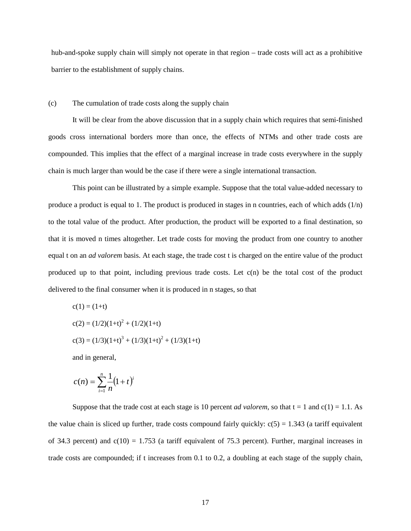hub-and-spoke supply chain will simply not operate in that region – trade costs will act as a prohibitive barrier to the establishment of supply chains.

## (c) The cumulation of trade costs along the supply chain

It will be clear from the above discussion that in a supply chain which requires that semi-finished goods cross international borders more than once, the effects of NTMs and other trade costs are compounded. This implies that the effect of a marginal increase in trade costs everywhere in the supply chain is much larger than would be the case if there were a single international transaction.

This point can be illustrated by a simple example. Suppose that the total value-added necessary to produce a product is equal to 1. The product is produced in stages in n countries, each of which adds  $(1/n)$ to the total value of the product. After production, the product will be exported to a final destination, so that it is moved n times altogether. Let trade costs for moving the product from one country to another equal t on an *ad valorem* basis. At each stage, the trade cost t is charged on the entire value of the product produced up to that point, including previous trade costs. Let c(n) be the total cost of the product delivered to the final consumer when it is produced in n stages, so that

$$
c(1) = (1+t)
$$
  
\n
$$
c(2) = (1/2)(1+t)^{2} + (1/2)(1+t)
$$
  
\n
$$
c(3) = (1/3)(1+t)^{3} + (1/3)(1+t)^{2} + (1/3)(1+t)
$$
  
\nand in general,

$$
c(n) = \sum_{i=1}^{n} \frac{1}{n} (1+t)^{i}
$$

Suppose that the trade cost at each stage is 10 percent *ad valorem*, so that  $t = 1$  and  $c(1) = 1.1$ . As the value chain is sliced up further, trade costs compound fairly quickly:  $c(5) = 1.343$  (a tariff equivalent of 34.3 percent) and  $c(10) = 1.753$  (a tariff equivalent of 75.3 percent). Further, marginal increases in trade costs are compounded; if t increases from 0.1 to 0.2, a doubling at each stage of the supply chain,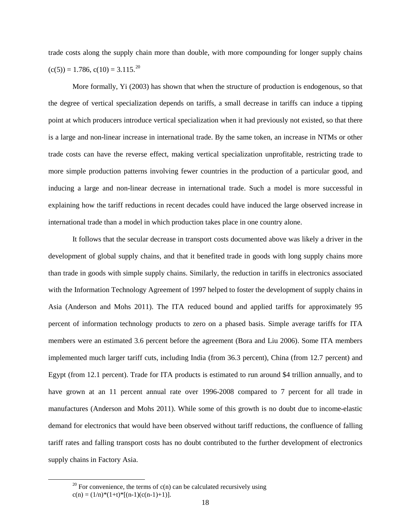trade costs along the supply chain more than double, with more compounding for longer supply chains  $(c(5)) = 1.786, c(10) = 3.115.<sup>20</sup>$  $(c(5)) = 1.786, c(10) = 3.115.<sup>20</sup>$  $(c(5)) = 1.786, c(10) = 3.115.<sup>20</sup>$ 

More formally, Yi (2003) has shown that when the structure of production is endogenous, so that the degree of vertical specialization depends on tariffs, a small decrease in tariffs can induce a tipping point at which producers introduce vertical specialization when it had previously not existed, so that there is a large and non-linear increase in international trade. By the same token, an increase in NTMs or other trade costs can have the reverse effect, making vertical specialization unprofitable, restricting trade to more simple production patterns involving fewer countries in the production of a particular good, and inducing a large and non-linear decrease in international trade. Such a model is more successful in explaining how the tariff reductions in recent decades could have induced the large observed increase in international trade than a model in which production takes place in one country alone.

It follows that the secular decrease in transport costs documented above was likely a driver in the development of global supply chains, and that it benefited trade in goods with long supply chains more than trade in goods with simple supply chains. Similarly, the reduction in tariffs in electronics associated with the Information Technology Agreement of 1997 helped to foster the development of supply chains in Asia (Anderson and Mohs 2011). The ITA reduced bound and applied tariffs for approximately 95 percent of information technology products to zero on a phased basis. Simple average tariffs for ITA members were an estimated 3.6 percent before the agreement (Bora and Liu 2006). Some ITA members implemented much larger tariff cuts, including India (from 36.3 percent), China (from 12.7 percent) and Egypt (from 12.1 percent). Trade for ITA products is estimated to run around \$4 trillion annually, and to have grown at an 11 percent annual rate over 1996-2008 compared to 7 percent for all trade in manufactures (Anderson and Mohs 2011). While some of this growth is no doubt due to income-elastic demand for electronics that would have been observed without tariff reductions, the confluence of falling tariff rates and falling transport costs has no doubt contributed to the further development of electronics supply chains in Factory Asia.

<sup>&</sup>lt;sup>20</sup> For convenience, the terms of  $c(n)$  can be calculated recursively using  $c(n) = (1/n)^*(1+t)^*[(n-1)(c(n-1)+1)].$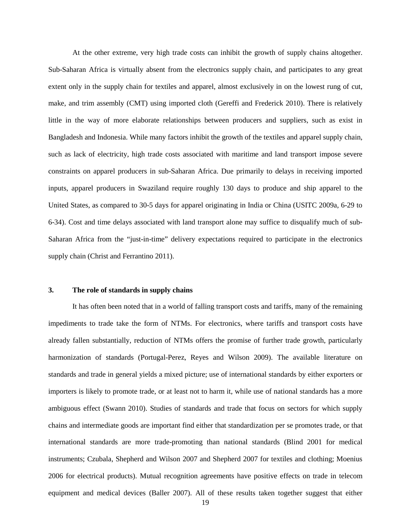At the other extreme, very high trade costs can inhibit the growth of supply chains altogether. Sub-Saharan Africa is virtually absent from the electronics supply chain, and participates to any great extent only in the supply chain for textiles and apparel, almost exclusively in on the lowest rung of cut, make, and trim assembly (CMT) using imported cloth (Gereffi and Frederick 2010). There is relatively little in the way of more elaborate relationships between producers and suppliers, such as exist in Bangladesh and Indonesia. While many factors inhibit the growth of the textiles and apparel supply chain, such as lack of electricity, high trade costs associated with maritime and land transport impose severe constraints on apparel producers in sub-Saharan Africa. Due primarily to delays in receiving imported inputs, apparel producers in Swaziland require roughly 130 days to produce and ship apparel to the United States, as compared to 30-5 days for apparel originating in India or China (USITC 2009a, 6-29 to 6-34). Cost and time delays associated with land transport alone may suffice to disqualify much of sub-Saharan Africa from the "just-in-time" delivery expectations required to participate in the electronics supply chain (Christ and Ferrantino 2011).

## **3. The role of standards in supply chains**

<span id="page-19-0"></span>It has often been noted that in a world of falling transport costs and tariffs, many of the remaining impediments to trade take the form of NTMs. For electronics, where tariffs and transport costs have already fallen substantially, reduction of NTMs offers the promise of further trade growth, particularly harmonization of standards (Portugal-Perez, Reyes and Wilson 2009). The available literature on standards and trade in general yields a mixed picture; use of international standards by either exporters or importers is likely to promote trade, or at least not to harm it, while use of national standards has a more ambiguous effect (Swann 2010). Studies of standards and trade that focus on sectors for which supply chains and intermediate goods are important find either that standardization per se promotes trade, or that international standards are more trade-promoting than national standards (Blind 2001 for medical instruments; Czubala, Shepherd and Wilson 2007 and Shepherd 2007 for textiles and clothing; Moenius 2006 for electrical products). Mutual recognition agreements have positive effects on trade in telecom equipment and medical devices (Baller 2007). All of these results taken together suggest that either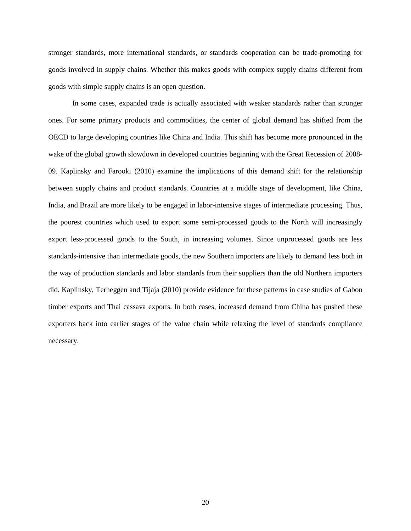stronger standards, more international standards, or standards cooperation can be trade-promoting for goods involved in supply chains. Whether this makes goods with complex supply chains different from goods with simple supply chains is an open question.

In some cases, expanded trade is actually associated with weaker standards rather than stronger ones. For some primary products and commodities, the center of global demand has shifted from the OECD to large developing countries like China and India. This shift has become more pronounced in the wake of the global growth slowdown in developed countries beginning with the Great Recession of 2008-09. Kaplinsky and Farooki (2010) examine the implications of this demand shift for the relationship between supply chains and product standards. Countries at a middle stage of development, like China, India, and Brazil are more likely to be engaged in labor-intensive stages of intermediate processing. Thus, the poorest countries which used to export some semi-processed goods to the North will increasingly export less-processed goods to the South, in increasing volumes. Since unprocessed goods are less standards-intensive than intermediate goods, the new Southern importers are likely to demand less both in the way of production standards and labor standards from their suppliers than the old Northern importers did. Kaplinsky, Terheggen and Tijaja (2010) provide evidence for these patterns in case studies of Gabon timber exports and Thai cassava exports. In both cases, increased demand from China has pushed these exporters back into earlier stages of the value chain while relaxing the level of standards compliance necessary.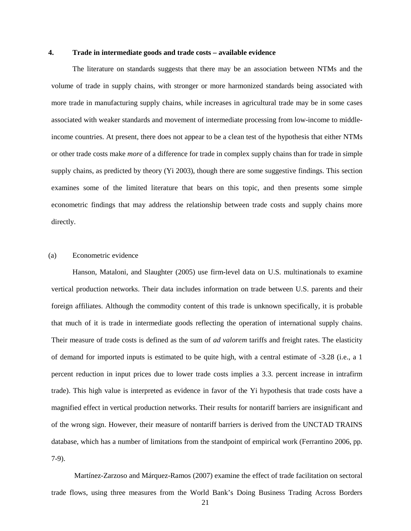## **4. Trade in intermediate goods and trade costs – available evidence**

The literature on standards suggests that there may be an association between NTMs and the volume of trade in supply chains, with stronger or more harmonized standards being associated with more trade in manufacturing supply chains, while increases in agricultural trade may be in some cases associated with weaker standards and movement of intermediate processing from low-income to middleincome countries. At present, there does not appear to be a clean test of the hypothesis that either NTMs or other trade costs make *more* of a difference for trade in complex supply chains than for trade in simple supply chains, as predicted by theory (Yi 2003), though there are some suggestive findings. This section examines some of the limited literature that bears on this topic, and then presents some simple econometric findings that may address the relationship between trade costs and supply chains more directly.

## (a) Econometric evidence

Hanson, Mataloni, and Slaughter (2005) use firm-level data on U.S. multinationals to examine vertical production networks. Their data includes information on trade between U.S. parents and their foreign affiliates. Although the commodity content of this trade is unknown specifically, it is probable that much of it is trade in intermediate goods reflecting the operation of international supply chains. Their measure of trade costs is defined as the sum of *ad valorem* tariffs and freight rates. The elasticity of demand for imported inputs is estimated to be quite high, with a central estimate of -3.28 (i.e., a 1 percent reduction in input prices due to lower trade costs implies a 3.3. percent increase in intrafirm trade). This high value is interpreted as evidence in favor of the Yi hypothesis that trade costs have a magnified effect in vertical production networks. Their results for nontariff barriers are insignificant and of the wrong sign. However, their measure of nontariff barriers is derived from the UNCTAD TRAINS database, which has a number of limitations from the standpoint of empirical work (Ferrantino 2006, pp. 7-9).

Martínez-Zarzoso and Márquez-Ramos (2007) examine the effect of trade facilitation on sectoral trade flows, using three measures from the World Bank's Doing Business Trading Across Borders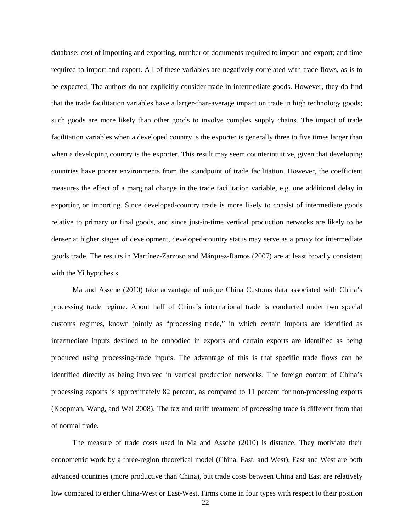database; cost of importing and exporting, number of documents required to import and export; and time required to import and export. All of these variables are negatively correlated with trade flows, as is to be expected. The authors do not explicitly consider trade in intermediate goods. However, they do find that the trade facilitation variables have a larger-than-average impact on trade in high technology goods; such goods are more likely than other goods to involve complex supply chains. The impact of trade facilitation variables when a developed country is the exporter is generally three to five times larger than when a developing country is the exporter. This result may seem counterintuitive, given that developing countries have poorer environments from the standpoint of trade facilitation. However, the coefficient measures the effect of a marginal change in the trade facilitation variable, e.g. one additional delay in exporting or importing. Since developed-country trade is more likely to consist of intermediate goods relative to primary or final goods, and since just-in-time vertical production networks are likely to be denser at higher stages of development, developed-country status may serve as a proxy for intermediate goods trade. The results in Martínez-Zarzoso and Márquez-Ramos (2007) are at least broadly consistent with the Yi hypothesis.

Ma and Assche (2010) take advantage of unique China Customs data associated with China's processing trade regime. About half of China's international trade is conducted under two special customs regimes, known jointly as "processing trade," in which certain imports are identified as intermediate inputs destined to be embodied in exports and certain exports are identified as being produced using processing-trade inputs. The advantage of this is that specific trade flows can be identified directly as being involved in vertical production networks. The foreign content of China's processing exports is approximately 82 percent, as compared to 11 percent for non-processing exports (Koopman, Wang, and Wei 2008). The tax and tariff treatment of processing trade is different from that of normal trade.

The measure of trade costs used in Ma and Assche (2010) is distance. They motiviate their econometric work by a three-region theoretical model (China, East, and West). East and West are both advanced countries (more productive than China), but trade costs between China and East are relatively low compared to either China-West or East-West. Firms come in four types with respect to their position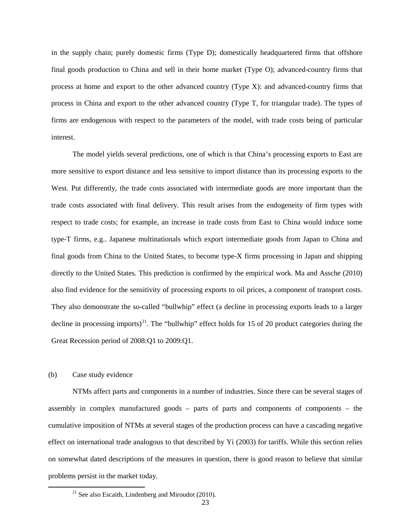in the supply chain; purely domestic firms (Type D); domestically headquartered firms that offshore final goods production to China and sell in their home market (Type O); advanced-country firms that process at home and export to the other advanced country (Type X): and advanced-country firms that process in China and export to the other advanced country (Type T, for triangular trade). The types of firms are endogenous with respect to the parameters of the model, with trade costs being of particular interest.

The model yields several predictions, one of which is that China's processing exports to East are more sensitive to export distance and less sensitive to import distance than its processing exports to the West. Put differently, the trade costs associated with intermediate goods are more important than the trade costs associated with final delivery. This result arises from the endogeneity of firm types with respect to trade costs; for example, an increase in trade costs from East to China would induce some type-T firms, e.g.. Japanese multinationals which export intermediate goods from Japan to China and final goods from China to the United States, to become type-X firms processing in Japan and shipping directly to the United States. This prediction is confirmed by the empirical work. Ma and Assche (2010) also find evidence for the sensitivity of processing exports to oil prices, a component of transport costs. They also demonstrate the so-called "bullwhip" effect (a decline in processing exports leads to a larger decline in processing imports)<sup>21</sup>. The "bullwhip" effect holds for 15 of 20 product categories during the Great Recession period of 2008:Q1 to 2009:Q1.

## (b) Case study evidence

NTMs affect parts and components in a number of industries. Since there can be several stages of assembly in complex manufactured goods – parts of parts and components of components – the cumulative imposition of NTMs at several stages of the production process can have a cascading negative effect on international trade analogous to that described by Yi (2003) for tariffs. While this section relies on somewhat dated descriptions of the measures in question, there is good reason to believe that similar problems persist in the market today.

 $21$  See also Escaith, Lindenberg and Miroudot (2010).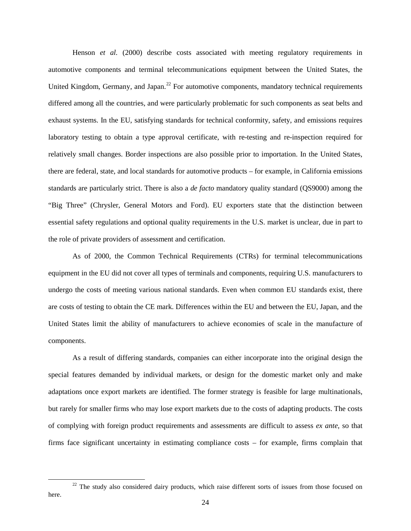Henson *et al.* (2000) describe costs associated with meeting regulatory requirements in automotive components and terminal telecommunications equipment between the United States, the United Kingdom, Germany, and Japan.<sup>[22](#page-25-0)</sup> For automotive components, mandatory technical requirements differed among all the countries, and were particularly problematic for such components as seat belts and exhaust systems. In the EU, satisfying standards for technical conformity, safety, and emissions requires laboratory testing to obtain a type approval certificate, with re-testing and re-inspection required for relatively small changes. Border inspections are also possible prior to importation. In the United States, there are federal, state, and local standards for automotive products – for example, in California emissions standards are particularly strict. There is also a *de facto* mandatory quality standard (QS9000) among the "Big Three" (Chrysler, General Motors and Ford). EU exporters state that the distinction between essential safety regulations and optional quality requirements in the U.S. market is unclear, due in part to the role of private providers of assessment and certification.

As of 2000, the Common Technical Requirements (CTRs) for terminal telecommunications equipment in the EU did not cover all types of terminals and components, requiring U.S. manufacturers to undergo the costs of meeting various national standards. Even when common EU standards exist, there are costs of testing to obtain the CE mark. Differences within the EU and between the EU, Japan, and the United States limit the ability of manufacturers to achieve economies of scale in the manufacture of components.

As a result of differing standards, companies can either incorporate into the original design the special features demanded by individual markets, or design for the domestic market only and make adaptations once export markets are identified. The former strategy is feasible for large multinationals, but rarely for smaller firms who may lose export markets due to the costs of adapting products. The costs of complying with foreign product requirements and assessments are difficult to assess *ex ante,* so that firms face significant uncertainty in estimating compliance costs – for example, firms complain that

<span id="page-24-0"></span> $22$  The study also considered dairy products, which raise different sorts of issues from those focused on here.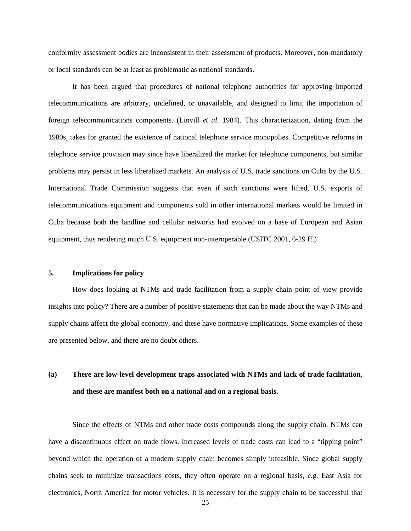conformity assessment bodies are inconsistent in their assessment of products. Moreover, non-mandatory or local standards can be at least as problematic as national standards.

It has been argued that procedures of national telephone authorities for approving imported telecommunications are arbitrary, undefined, or unavailable, and designed to limit the importation of foreign telecommunications components. (Linvill *et al.* 1984). This characterization, dating from the 1980s, takes for granted the existence of national telephone service monopolies. Competitive reforms in telephone service provision may since have liberalized the market for telephone components, but similar problems may persist in less liberalized markets. An analysis of U.S. trade sanctions on Cuba by the U.S. International Trade Commission suggests that even if such sanctions were lifted, U.S. exports of telecommunications equipment and components sold in other international markets would be limited in Cuba because both the landline and cellular networks had evolved on a base of European and Asian equipment, thus rendering much U.S. equipment non-interoperable (USITC 2001, 6-29 ff.)

## **5. Implications for policy**

How does looking at NTMs and trade facilitation from a supply chain point of view provide insights into policy? There are a number of positive statements that can be made about the way NTMs and supply chains affect the global economy, and these have normative implications. Some examples of these are presented below, and there are no doubt others.

## **(a) There are low-level development traps associated with NTMs and lack of trade facilitation, and these are manifest both on a national and on a regional basis.**

<span id="page-25-0"></span>Since the effects of NTMs and other trade costs compounds along the supply chain, NTMs can have a discontinuous effect on trade flows. Increased levels of trade costs can lead to a "tipping point" beyond which the operation of a modern supply chain becomes simply infeasible. Since global supply chains seek to minimize transactions costs, they often operate on a regional basis, e.g. East Asia for electronics, North America for motor vehicles. It is necessary for the supply chain to be successful that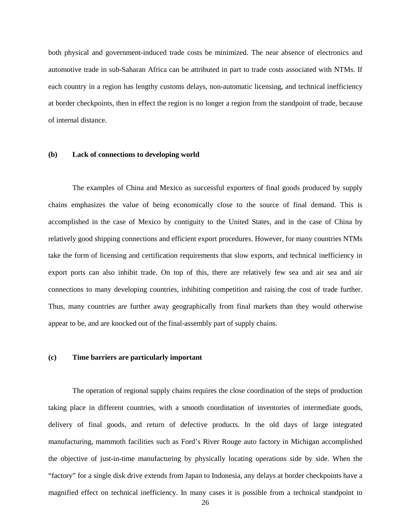both physical and government-induced trade costs be minimized. The near absence of electronics and automotive trade in sub-Saharan Africa can be attributed in part to trade costs associated with NTMs. If each country in a region has lengthy customs delays, non-automatic licensing, and technical inefficiency at border checkpoints, then in effect the region is no longer a region from the standpoint of trade, because of internal distance.

## **(b) Lack of connections to developing world**

The examples of China and Mexico as successful exporters of final goods produced by supply chains emphasizes the value of being economically close to the source of final demand. This is accomplished in the case of Mexico by contiguity to the United States, and in the case of China by relatively good shipping connections and efficient export procedures. However, for many countries NTMs take the form of licensing and certification requirements that slow exports, and technical inefficiency in export ports can also inhibit trade. On top of this, there are relatively few sea and air sea and air connections to many developing countries, inhibiting competition and raising the cost of trade further. Thus, many countries are further away geographically from final markets than they would otherwise appear to be, and are knocked out of the final-assembly part of supply chains.

## **(c) Time barriers are particularly important**

The operation of regional supply chains requires the close coordination of the steps of production taking place in different countries, with a smooth coordination of inventories of intermediate goods, delivery of final goods, and return of defective products. In the old days of large integrated manufacturing, mammoth facilities such as Ford's River Rouge auto factory in Michigan accomplished the objective of just-in-time manufacturing by physically locating operations side by side. When the "factory" for a single disk drive extends from Japan to Indonesia, any delays at border checkpoints have a magnified effect on technical inefficiency. In many cases it is possible from a technical standpoint to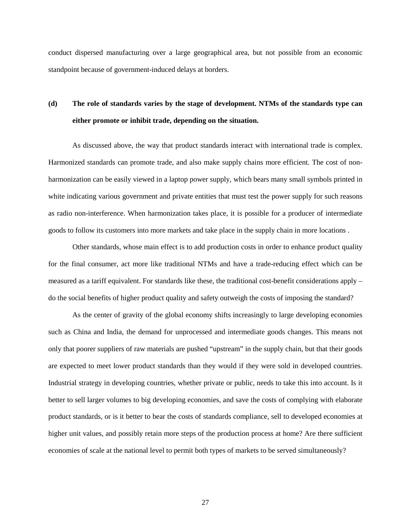conduct dispersed manufacturing over a large geographical area, but not possible from an economic standpoint because of government-induced delays at borders.

## **(d) The role of standards varies by the stage of development. NTMs of the standards type can either promote or inhibit trade, depending on the situation.**

As discussed above, the way that product standards interact with international trade is complex. Harmonized standards can promote trade, and also make supply chains more efficient. The cost of nonharmonization can be easily viewed in a laptop power supply, which bears many small symbols printed in white indicating various government and private entities that must test the power supply for such reasons as radio non-interference. When harmonization takes place, it is possible for a producer of intermediate goods to follow its customers into more markets and take place in the supply chain in more locations .

Other standards, whose main effect is to add production costs in order to enhance product quality for the final consumer, act more like traditional NTMs and have a trade-reducing effect which can be measured as a tariff equivalent. For standards like these, the traditional cost-benefit considerations apply – do the social benefits of higher product quality and safety outweigh the costs of imposing the standard?

As the center of gravity of the global economy shifts increasingly to large developing economies such as China and India, the demand for unprocessed and intermediate goods changes. This means not only that poorer suppliers of raw materials are pushed "upstream" in the supply chain, but that their goods are expected to meet lower product standards than they would if they were sold in developed countries. Industrial strategy in developing countries, whether private or public, needs to take this into account. Is it better to sell larger volumes to big developing economies, and save the costs of complying with elaborate product standards, or is it better to bear the costs of standards compliance, sell to developed economies at higher unit values, and possibly retain more steps of the production process at home? Are there sufficient economies of scale at the national level to permit both types of markets to be served simultaneously?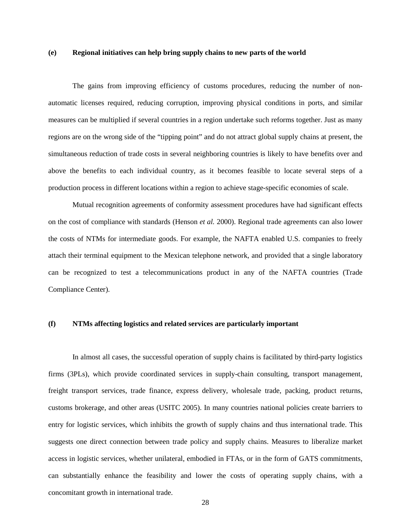#### **(e) Regional initiatives can help bring supply chains to new parts of the world**

The gains from improving efficiency of customs procedures, reducing the number of nonautomatic licenses required, reducing corruption, improving physical conditions in ports, and similar measures can be multiplied if several countries in a region undertake such reforms together. Just as many regions are on the wrong side of the "tipping point" and do not attract global supply chains at present, the simultaneous reduction of trade costs in several neighboring countries is likely to have benefits over and above the benefits to each individual country, as it becomes feasible to locate several steps of a production process in different locations within a region to achieve stage-specific economies of scale.

Mutual recognition agreements of conformity assessment procedures have had significant effects on the cost of compliance with standards (Henson *et al.* 2000). Regional trade agreements can also lower the costs of NTMs for intermediate goods. For example, the NAFTA enabled U.S. companies to freely attach their terminal equipment to the Mexican telephone network, and provided that a single laboratory can be recognized to test a telecommunications product in any of the NAFTA countries (Trade Compliance Center).

## **(f) NTMs affecting logistics and related services are particularly important**

In almost all cases, the successful operation of supply chains is facilitated by third-party logistics firms (3PLs), which provide coordinated services in supply-chain consulting, transport management, freight transport services, trade finance, express delivery, wholesale trade, packing, product returns, customs brokerage, and other areas (USITC 2005). In many countries national policies create barriers to entry for logistic services, which inhibits the growth of supply chains and thus international trade. This suggests one direct connection between trade policy and supply chains. Measures to liberalize market access in logistic services, whether unilateral, embodied in FTAs, or in the form of GATS commitments, can substantially enhance the feasibility and lower the costs of operating supply chains, with a concomitant growth in international trade.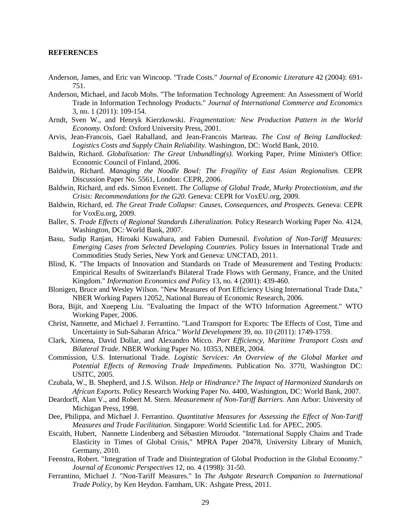## **REFERENCES**

- Anderson, James, and Eric van Wincoop. "Trade Costs." *Journal of Economic Literature* 42 (2004): 691- 751.
- Anderson, Michael, and Jacob Mohs. "The Information Technology Agreement: An Assessment of World Trade in Information Technology Products." *Journal of International Commerce and Economics* 3, no. 1 (2011): 109-154.
- Arndt, Sven W., and Henryk Kierzkowski. *Fragmentation: New Production Pattern in the World Economy.* Oxford: Oxford University Press, 2001.
- Arvis, Jean-Francois, Gael Raballand, and Jean-Francois Marteau. *The Cost of Being Landlocked: Logistics Costs and Supply Chain Reliability.* Washington, DC: World Bank, 2010.
- Baldwin, Richard. *Globalisation: The Great Unbundling(s).* Working Paper, Prime Minister's Office: Economic Council of Finland, 2006.
- Baldwin, Richard. *Managing the Noodle Bowl: The Fragility of East Asian Regionalism.* CEPR Discussion Paper No. 5561, London: CEPR, 2006.
- Baldwin, Richard, and eds. Simon Evenett. *The Collapse of Global Trade, Murky Protectionism, and the Crisis: Recommendations for the G20.* Geneva: CEPR for VoxEU.org, 2009.
- Baldwin, Richard, ed. *The Great Trade Collapse: Causes, Consequences, and Prospects.* Geneva: CEPR for VoxEu.org, 2009.
- Baller, S. *Trade Effects of Regional Standards Liberalization.* Policy Research Working Paper No. 4124, Washington, DC: World Bank, 2007.
- Basu, Sudip Ranjan, Hiroaki Kuwahara, and Fabien Dumesnil. *Evolution of Non-Tariff Measures: Emerging Cases from Selected Developing Countries.* Policy Issues in International Trade and Commodities Study Series, New York and Geneva: UNCTAD, 2011.
- Blind, K. "The Impacts of Innovation and Standards on Trade of Measurement and Testing Products: Empirical Results of Switzerland's Bilateral Trade Flows with Germany, France, and the United Kingdom." *Information Economics and Policy* 13, no. 4 (2001): 439-460.
- Blonigen, Bruce and Wesley Wilson. ["New Measures of Port Efficiency Using International Trade Data,](http://ideas.repec.org/p/nbr/nberwo/12052.html)" [NBER Working Papers](http://ideas.repec.org/s/nbr/nberwo.html) 12052, National Bureau of Economic Research, 2006.
- Bora, Bijit, and Xuepeng Liu. "Evaluating the Impact of the WTO Information Agreement." WTO Working Paper, 2006.
- Christ, Nannette, and Michael J. Ferrantino. "Land Transport for Exports: The Effects of Cost, Time and Uncertainty in Sub-Saharan Africa." *World Development* 39, no. 10 (2011): 1749-1759.
- Clark, Ximena, David Dollar, and Alexandro Micco. *Port Efficiency, Maritime Transport Costs and Bilateral Trade.* NBER Working Paper No. 10353, NBER, 2004.
- Commission, U.S. International Trade. *Logistic Services: An Overview of the Global Market and Potential Effects of Removing Trade Impediments.* Publication No. 3770, Washington DC: USITC, 2005.
- Czubala, W., B. Shepherd, and J.S. Wilson. *Help or Hindrance? The Impact of Harmonized Standards on African Exports.* Policy Research Working Paper No. 4400, Washington, DC: World Bank, 2007.
- Deardorff, Alan V., and Robert M. Stern. *Measurement of Non-Tariff Barriers.* Ann Arbor: University of Michigan Press, 1998.
- Dee, Philippa, and Michael J. Ferrantino. *Quantitative Measures for Assessing the Effect of Non-Tariff Measures and Trade Facilitation.* Singapore: World Scientific Ltd. for APEC, 2005.
- Escaith, Hubert, Nannette Lindenberg and Sébastien Miroudot. "International Supply Chains and Trade Elasticity in Times of Global Crisis," MPRA Paper 20478, University Library of Munich, Germany, 2010.
- Feenstra, Robert. "Integration of Trade and Disintegration of Global Production in the Global Economy." *Journal of Economic Perspectives* 12, no. 4 (1998): 31-50.
- Ferrantino, Michael J. "Non-Tariff Measures." In *The Ashgate Research Companion to International Trade Policy*, by Ken Heydon. Farnham, UK: Ashgate Press, 2011.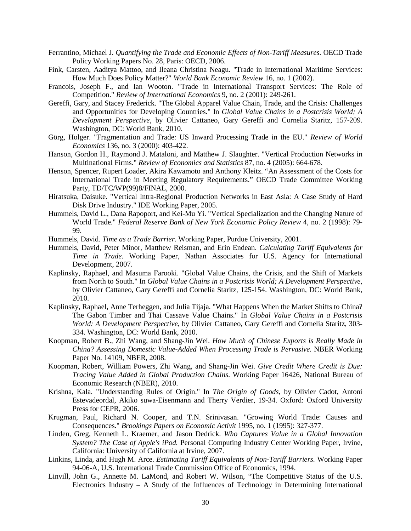- Ferrantino, Michael J. *Quantifying the Trade and Economic Effects of Non-Tariff Measures.* OECD Trade Policy Working Papers No. 28, Paris: OECD, 2006.
- Fink, Carsten, Aaditya Mattoo, and Ileana Christina Neagu. "Trade in International Maritime Services: How Much Does Policy Matter?" *World Bank Economic Review* 16, no. 1 (2002).
- Francois, Joseph F., and Ian Wooton. "Trade in International Transport Services: The Role of Competition." *Review of International Economics* 9, no. 2 (2001): 249-261.
- Gereffi, Gary, and Stacey Frederick. "The Global Apparel Value Chain, Trade, and the Crisis: Challenges and Opportunities for Developing Countries." In *Global Value Chains in a Postcrisis World; A Development Perspective*, by Olivier Cattaneo, Gary Gereffi and Cornelia Staritz, 157-209. Washington, DC: World Bank, 2010.
- Görg, Holger. "Fragmentation and Trade: US Inward Processing Trade in the EU." *Review of World Economics* 136, no. 3 (2000): 403-422.
- Hanson, Gordon H., Raymond J. Mataloni, and Matthew J. Slaughter. "Vertical Production Networks in Multinational Firms." *Review of Economics and Statistics* 87, no. 4 (2005): 664-678.
- Henson, Spencer, Rupert Loader, Akira Kawamoto and Anthony Kleitz. "An Assessment of the Costs for International Trade in Meeting Regulatory Requirements." OECD Trade Committee Working Party, TD/TC/WP(99)8/FINAL, 2000.
- Hiratsuka, Daisuke. "Vertical Intra-Regional Production Networks in East Asia: A Case Study of Hard Disk Drive Industry." IDE Working Paper, 2005.
- Hummels, David L., Dana Rapoport, and Kei-Mu Yi. "Vertical Specialization and the Changing Nature of World Trade." *Federal Reserve Bank of New York Economic Policy Review* 4, no. 2 (1998): 79- 99.
- Hummels, David. *Time as a Trade Barrier.* Working Paper, Purdue University, 2001.
- Hummels, David, Peter Minor, Matthew Reisman, and Erin Endean. *Calculating Tariff Equivalents for Time in Trade.* Working Paper, Nathan Associates for U.S. Agency for International Development, 2007.
- Kaplinsky, Raphael, and Masuma Farooki. "Global Value Chains, the Crisis, and the Shift of Markets from North to South." In *Global Value Chains in a Postcrisis World; A Development Perspective*, by Olivier Cattaneo, Gary Gereffi and Cornelia Staritz, 125-154. Washington, DC: World Bank, 2010.
- Kaplinsky, Raphael, Anne Terheggen, and Julia Tijaja. "What Happens When the Market Shifts to China? The Gabon Timber and Thai Cassave Value Chains." In *Global Value Chains in a Postcrisis World: A Development Perspective*, by Olivier Cattaneo, Gary Gereffi and Cornelia Staritz, 303- 334. Washington, DC: World Bank, 2010.
- Koopman, Robert B., Zhi Wang, and Shang-Jin Wei. *How Much of Chinese Exports is Really Made in China? Assessing Domestic Value-Added When Processing Trade is Pervasive.* NBER Working Paper No. 14109, NBER, 2008.
- Koopman, Robert, William Powers, Zhi Wang, and Shang-Jin Wei. *Give Credit Where Credit is Due: Tracing Value Added in Global Production Chains.* Working Paper 16426, National Bureau of Economic Research (NBER), 2010.
- Krishna, Kala. "Understanding Rules of Origin." In *The Origin of Goods*, by Olivier Cadot, Antoni Estevadeordal, Akiko suwa-Eisenmann and Therry Verdier, 19-34. Oxford: Oxford University Press for CEPR, 2006.
- Krugman, Paul, Richard N. Cooper, and T.N. Srinivasan. "Growing World Trade: Causes and Consequences." *Brookings Papers on Economic Activit* 1995, no. 1 (1995): 327-377.
- Linden, Greg, Kenneth L. Kraemer, and Jason Dedrick. *Who Captures Value in a Global Innovation System? The Case of Apple's iPod.* Personal Computing Industry Center Working Paper, Irvine, California: University of California at Irvine, 2007.
- Linkins, Linda, and Hugh M. Arce. *Estimating Tariff Equivalents of Non-Tariff Barriers.* Working Paper 94-06-A, U.S. International Trade Commission Office of Economics, 1994.
- Linvill, John G., Annette M. LaMond, and Robert W. Wilson, "The Competitive Status of the U.S. Electronics Industry – A Study of the Influences of Technology in Determining International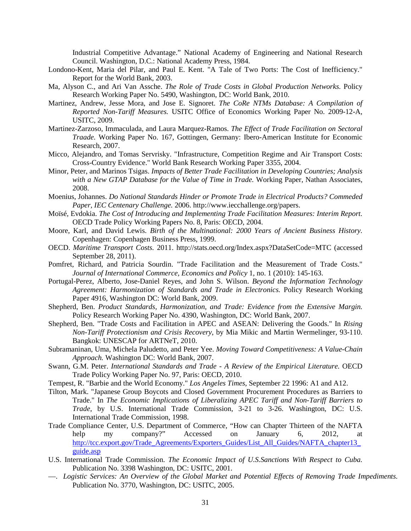Industrial Competitive Advantage." National Academy of Engineering and National Research Council. Washington, D.C.: National Academy Press, 1984.

- Londono-Kent, Maria del Pilar, and Paul E. Kent. "A Tale of Two Ports: The Cost of Inefficiency." Report for the World Bank, 2003.
- Ma, Alyson C., and Ari Van Assche. *The Role of Trade Costs in Global Production Networks.* Policy Research Working Paper No. 5490, Washington, DC: World Bank, 2010.
- Martinez, Andrew, Jesse Mora, and Jose E. Signoret. *The CoRe NTMs Database: A Compilation of Reported Non-Tariff Measures.* USITC Office of Economics Working Paper No. 2009-12-A, USITC, 2009.
- Martinez-Zarzoso, Immaculada, and Laura Marquez-Ramos. *The Effect of Trade Facilitation on Sectoral Traade.* Working Paper No. 167, Gottingen, Germany: Ibero-American Institute for Economic Research, 2007.
- Micco, Alejandro, and Tomas Servrisky. "Infrastructure, Competition Regime and Air Transport Costs: Cross-Country Evidence." World Bank Research Working Paper 3355, 2004.
- Minor, Peter, and Marinos Tsigas. *Impacts of Better Trade Facilitation in Developing Countries; Analysis with a New GTAP Database for the Value of Time in Trade.* Working Paper, Nathan Associates, 2008.
- Moenius, Johannes. *Do National Standards Hinder or Promote Trade in Electrical Products? Commeded Paper, IEC Centenary Challenge.* 2006. http://www.iecchallenge.org/papers.
- Moïsé, Evdokia. *The Cost of Introducing and Implementing Trade Facilitation Measures: Interim Report.* OECD Trade Policy Working Papers No. 8, Paris: OECD, 2004.
- Moore, Karl, and David Lewis. *Birth of the Multinational: 2000 Years of Ancient Business History.* Copenhagen: Copenhagen Business Press, 1999.
- OECD. *Maritime Transport Costs.* 2011. http://stats.oecd.org/Index.aspx?DataSetCode=MTC (accessed September 28, 2011).
- Pomfret, Richard, and Patricia Sourdin. "Trade Facilitation and the Measurement of Trade Costs." *Journal of International Commerce, Economics and Policy* 1, no. 1 (2010): 145-163.
- Portugal-Perez, Alberto, Jose-Daniel Reyes, and John S. Wilson. *Beyond the Information Technology Agreement: Harmonization of Standards and Trade in Electronics.* Policy Research Working Paper 4916, Washington DC: World Bank, 2009.
- Shepherd, Ben. *Product Standards, Harmonization, and Trade: Evidence from the Extensive Margin.* Policy Research Working Paper No. 4390, Washington, DC: World Bank, 2007.
- Shepherd, Ben. "Trade Costs and Facilitation in APEC and ASEAN: Delivering the Goods." In *Rising Non-Tariff Protectionism and Crisis Recovery*, by Mia Mikic and Martin Wermelinger, 93-110. Bangkok: UNESCAP for ARTNeT, 2010.
- Subramaninan, Uma, Michela Paludetto, and Peter Yee. *Moving Toward Competitiveness: A Value-Chain Approach.* Washington DC: World Bank, 2007.
- Swann, G.M. Peter. *International Standards and Trade - A Review of the Empirical Literature.* OECD Trade Policy Working Paper No. 97, Paris: OECD, 2010.
- Tempest, R. "Barbie and the World Economy." *Los Angeles Times*, September 22 1996: A1 and A12.
- Tilton, Mark. "Japanese Group Boycots and Closed Government Procurement Procedures as Barriers to Trade." In *The Economic Implications of Liberalizing APEC Tariff and Non-Tariff Barriers to Trade*, by U.S. International Trade Commission, 3-21 to 3-26. Washington, DC: U.S. International Trade Commission, 1998.
- Trade Compliance Center, U.S. Department of Commerce, "How can Chapter Thirteen of the NAFTA help my company?" Accessed on January  $6$ , 2012, [http://tcc.export.gov/Trade\\_Agreements/Exporters\\_Guides/List\\_All\\_Guides/NAFTA\\_chapter13\\_](http://tcc.export.gov/Trade_Agreements/Exporters_Guides/List_All_Guides/NAFTA_chapter13_guide.asp) [guide.asp](http://tcc.export.gov/Trade_Agreements/Exporters_Guides/List_All_Guides/NAFTA_chapter13_guide.asp)
- U.S. International Trade Commission. *The Economic Impact of U.S.Sanctions With Respect to Cuba.* Publication No. 3398 Washington, DC: USITC, 2001.
- —. *Logistic Services: An Overview of the Global Market and Potential Effects of Removing Trade Impediments.* Publication No. 3770, Washington, DC: USITC, 2005.